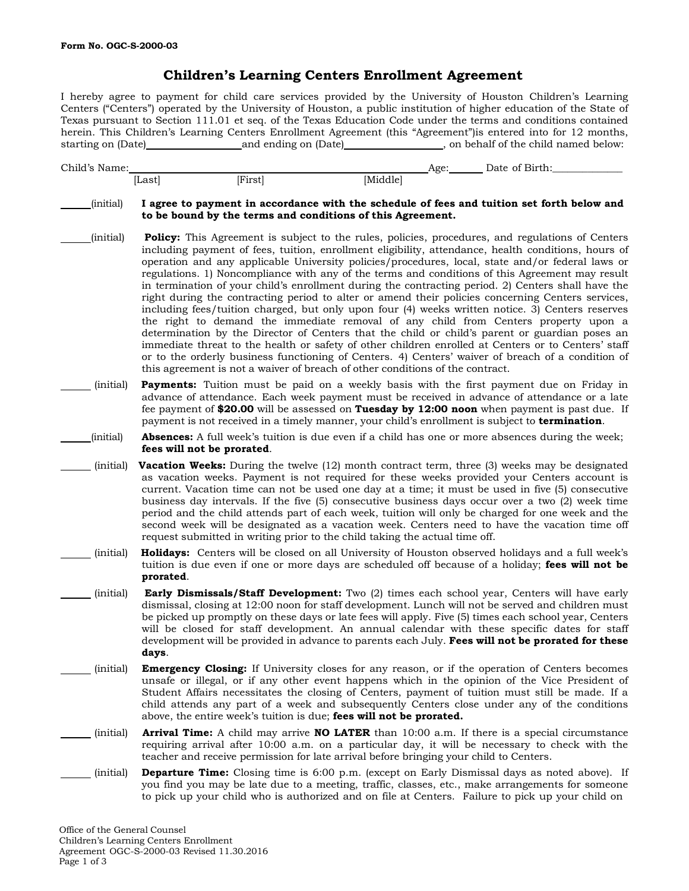## **Children's Learning Centers Enrollment Agreement**

I hereby agree to payment for child care services provided by the University of Houston Children's Learning Centers ("Centers") operated by the University of Houston, a public institution of higher education of the State of Texas pursuant to Section 111.01 et seq. of the Texas Education Code under the terms and conditions contained herein. This Children's Learning Centers Enrollment Agreement (this "Agreement")is entered into for 12 months, starting on (Date) and ending on (Date) , on behalf of the child named below:

Child's Name: Date of Birth: Age: Date of Birth: [Last] [First] [Middle] (initial) **I agree to payment in accordance with the schedule of fees and tuition set forth below and to be bound by the terms and conditions of this Agreement.** (initial) **Policy:** This Agreement is subject to the rules, policies, procedures, and regulations of Centers including payment of fees, tuition, enrollment eligibility, attendance, health conditions, hours of operation and any applicable University policies/procedures, local, state and/or federal laws or regulations. 1) Noncompliance with any of the terms and conditions of this Agreement may result in termination of your child's enrollment during the contracting period. 2) Centers shall have the right during the contracting period to alter or amend their policies concerning Centers services, including fees/tuition charged, but only upon four (4) weeks written notice. 3) Centers reserves the right to demand the immediate removal of any child from Centers property upon a determination by the Director of Centers that the child or child's parent or guardian poses an immediate threat to the health or safety of other children enrolled at Centers or to Centers' staff or to the orderly business functioning of Centers. 4) Centers' waiver of breach of a condition of this agreement is not a waiver of breach of other conditions of the contract. (initial) **Payments:** Tuition must be paid on a weekly basis with the first payment due on Friday in advance of attendance. Each week payment must be received in advance of attendance or a late fee payment of **\$20.00** will be assessed on **Tuesday by 12:00 noon** when payment is past due. If payment is not received in a timely manner, your child's enrollment is subject to **termination**. (initial) **Absences:** A full week's tuition is due even if a child has one or more absences during the week; **fees will not be prorated**. (initial) **Vacation Weeks:** During the twelve (12) month contract term, three (3) weeks may be designated as vacation weeks. Payment is not required for these weeks provided your Centers account is current. Vacation time can not be used one day at a time; it must be used in five (5) consecutive business day intervals. If the five (5) consecutive business days occur over a two (2) week time period and the child attends part of each week, tuition will only be charged for one week and the second week will be designated as a vacation week. Centers need to have the vacation time off request submitted in writing prior to the child taking the actual time off. (initial) **Holidays:** Centers will be closed on all University of Houston observed holidays and a full week's tuition is due even if one or more days are scheduled off because of a holiday; **fees will not be prorated**. (initial) **Early Dismissals/Staff Development:** Two (2) times each school year, Centers will have early dismissal, closing at 12:00 noon for staff development. Lunch will not be served and children must be picked up promptly on these days or late fees will apply. Five (5) times each school year, Centers will be closed for staff development. An annual calendar with these specific dates for staff development will be provided in advance to parents each July. **Fees will not be prorated for these days**. (initial) **Emergency Closing:** If University closes for any reason, or if the operation of Centers becomes unsafe or illegal, or if any other event happens which in the opinion of the Vice President of Student Affairs necessitates the closing of Centers, payment of tuition must still be made. If a child attends any part of a week and subsequently Centers close under any of the conditions above, the entire week's tuition is due; **fees will not be prorated.** (initial) **Arrival Time:** A child may arrive **NO LATER** than 10:00 a.m. If there is a special circumstance requiring arrival after 10:00 a.m. on a particular day, it will be necessary to check with the teacher and receive permission for late arrival before bringing your child to Centers. (initial) **Departure Time:** Closing time is 6:00 p.m. (except on Early Dismissal days as noted above). If you find you may be late due to a meeting, traffic, classes, etc., make arrangements for someone to pick up your child who is authorized and on file at Centers. Failure to pick up your child on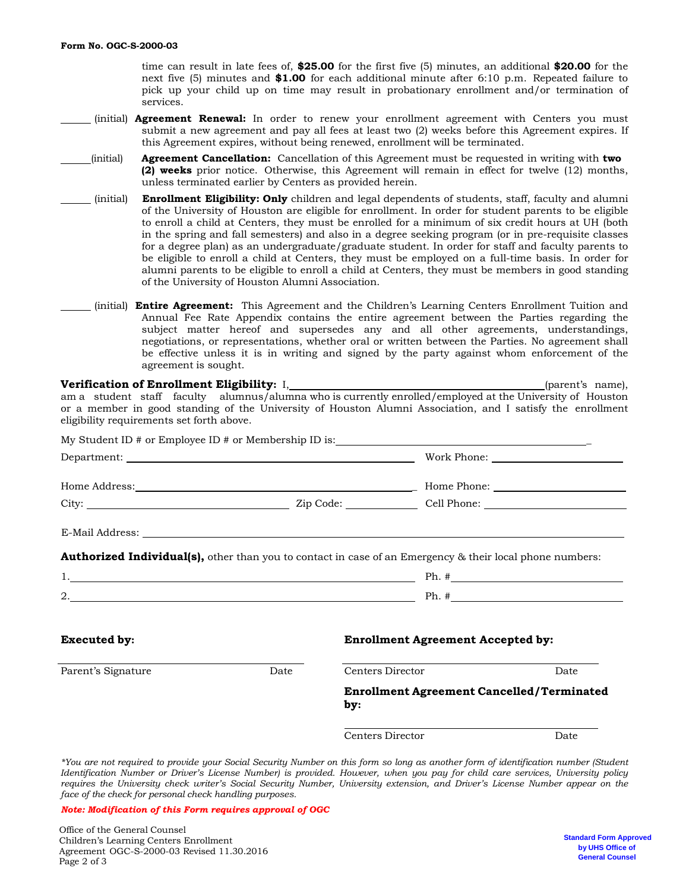time can result in late fees of, **\$25.00** for the first five (5) minutes, an additional **\$20.00** for the next five (5) minutes and **\$1.00** for each additional minute after 6:10 p.m. Repeated failure to pick up your child up on time may result in probationary enrollment and/or termination of services.

- (initial) **Agreement Renewal:** In order to renew your enrollment agreement with Centers you must submit a new agreement and pay all fees at least two (2) weeks before this Agreement expires. If this Agreement expires, without being renewed, enrollment will be terminated.
- (initial) **Agreement Cancellation:** Cancellation of this Agreement must be requested in writing with **two (2) weeks** prior notice. Otherwise, this Agreement will remain in effect for twelve (12) months, unless terminated earlier by Centers as provided herein.
- (initial) **Enrollment Eligibility: Only** children and legal dependents of students, staff, faculty and alumni of the University of Houston are eligible for enrollment. In order for student parents to be eligible to enroll a child at Centers, they must be enrolled for a minimum of six credit hours at UH (both in the spring and fall semesters) and also in a degree seeking program (or in pre-requisite classes for a degree plan) as an undergraduate/graduate student. In order for staff and faculty parents to be eligible to enroll a child at Centers, they must be employed on a full-time basis. In order for alumni parents to be eligible to enroll a child at Centers, they must be members in good standing of the University of Houston Alumni Association.
- (initial) **Entire Agreement:** This Agreement and the Children's Learning Centers Enrollment Tuition and Annual Fee Rate Appendix contains the entire agreement between the Parties regarding the subject matter hereof and supersedes any and all other agreements, understandings, negotiations, or representations, whether oral or written between the Parties. No agreement shall be effective unless it is in writing and signed by the party against whom enforcement of the agreement is sought.

| am a student staff faculty alumnus/alumna who is currently enrolled/employed at the University of Houston<br>or a member in good standing of the University of Houston Alumni Association, and I satisfy the enrollment<br>eligibility requirements set forth above. |      |                  |                                                  | (parent's name), |  |  |
|----------------------------------------------------------------------------------------------------------------------------------------------------------------------------------------------------------------------------------------------------------------------|------|------------------|--------------------------------------------------|------------------|--|--|
|                                                                                                                                                                                                                                                                      |      |                  |                                                  |                  |  |  |
|                                                                                                                                                                                                                                                                      |      |                  |                                                  |                  |  |  |
|                                                                                                                                                                                                                                                                      |      |                  |                                                  |                  |  |  |
|                                                                                                                                                                                                                                                                      |      |                  |                                                  |                  |  |  |
| <b>Authorized Individual(s),</b> other than you to contact in case of an Emergency & their local phone numbers:<br>1. The contract of the contract of the contract of the contract of $\mathbb{P}$ Ph. #                                                             |      |                  |                                                  |                  |  |  |
| <b>Executed by:</b>                                                                                                                                                                                                                                                  |      |                  | <b>Enrollment Agreement Accepted by:</b>         |                  |  |  |
| Parent's Signature                                                                                                                                                                                                                                                   | Date | Centers Director |                                                  | Date             |  |  |
|                                                                                                                                                                                                                                                                      |      | by:              | <b>Enrollment Agreement Cancelled/Terminated</b> |                  |  |  |
|                                                                                                                                                                                                                                                                      |      | Centers Director |                                                  | Date             |  |  |

\*You are not required to provide your Social Security Number on this form so long as another form of identification number (Student Identification Number or Driver's License Number) is provided. However, when you pay for child care services, University policy requires the University check writer's Social Security Number, University extension, and Driver's License Number appear on the *face of the check for personal check handling purposes.*

*Note: Modification of this Form requires approval of OGC*